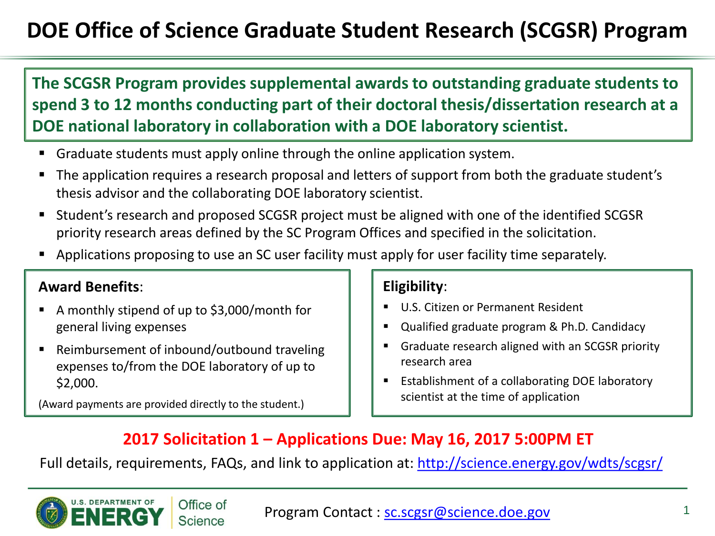# **DOE Office of Science Graduate Student Research (SCGSR) Program**

**The SCGSR Program provides supplemental awards to outstanding graduate students to spend 3 to 12 months conducting part of their doctoral thesis/dissertation research at a DOE national laboratory in collaboration with a DOE laboratory scientist.** 

- Graduate students must apply online through the online application system.
- The application requires a research proposal and letters of support from both the graduate student's thesis advisor and the collaborating DOE laboratory scientist.
- Student's research and proposed SCGSR project must be aligned with one of the identified SCGSR priority research areas defined by the SC Program Offices and specified in the solicitation.
- Applications proposing to use an SC user facility must apply for user facility time separately.

## **Award Benefits**:

- A monthly stipend of up to \$3,000/month for general living expenses
- Reimbursement of inbound/outbound traveling expenses to/from the DOE laboratory of up to \$2,000.

Office of **Science** 

(Award payments are provided directly to the student.)

### **Eligibility**:

- U.S. Citizen or Permanent Resident
- Qualified graduate program & Ph.D. Candidacy
- Graduate research aligned with an SCGSR priority research area
- Establishment of a collaborating DOE laboratory scientist at the time of application

# **2017 Solicitation 1 – Applications Due: May 16, 2017 5:00PM ET**

Full details, requirements, FAQs, and link to application at:<http://science.energy.gov/wdts/scgsr/>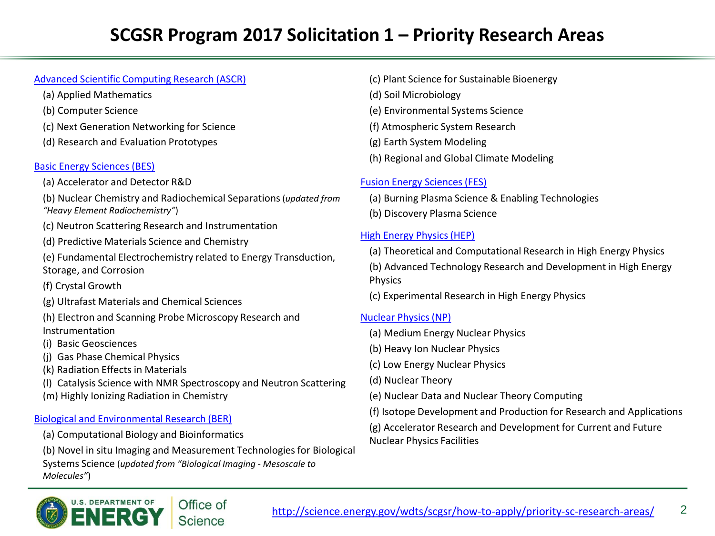#### Advanced Scientific Computing Research (ASCR)

- (a) Applied Mathematics
- (b) Computer Science
- (c) Next Generation Networking for Science
- (d) Research and Evaluation Prototypes

#### Basic Energy Sciences (BES)

- (a) Accelerator and Detector R&D
- (b) Nuclear Chemistry and Radiochemical Separations (*updated from "Heavy Element Radiochemistry"*)
- (c) Neutron Scattering Research and Instrumentation
- (d) Predictive Materials Science and Chemistry
- (e) Fundamental Electrochemistry related to Energy Transduction, Storage, and Corrosion
- (f) Crystal Growth
- (g) Ultrafast Materials and Chemical Sciences
- (h) Electron and Scanning Probe Microscopy Research and Instrumentation
- (i) Basic Geosciences
- (j) Gas Phase Chemical Physics
- (k) Radiation Effects in Materials
- (l) Catalysis Science with NMR Spectroscopy and Neutron Scattering
- (m) Highly Ionizing Radiation in Chemistry

#### Biological and Environmental Research (BER)

- (a) Computational Biology and Bioinformatics
- (b) Novel in situ Imaging and Measurement Technologies for Biological Systems Science (*updated from "Biological Imaging - Mesoscale to Molecules"*)



<http://science.energy.gov/wdts/scgsr/how-to-apply/priority-sc-research-areas/> 2

- (c) Plant Science for Sustainable Bioenergy (d) Soil Microbiology (e) Environmental Systems Science (f) Atmospheric System Research (g) Earth System Modeling
- (h) Regional and Global Climate Modeling

#### Fusion Energy Sciences (FES)

- (a) Burning Plasma Science & Enabling Technologies
- (b) Discovery Plasma Science

#### High Energy Physics (HEP)

- (a) Theoretical and Computational Research in High Energy Physics
- (b) Advanced Technology Research and Development in High Energy Physics
- (c) Experimental Research in High Energy Physics

#### Nuclear Physics (NP)

- (a) Medium Energy Nuclear Physics
- (b) Heavy Ion Nuclear Physics
- (c) Low Energy Nuclear Physics
- (d) Nuclear Theory
- (e) Nuclear Data and Nuclear Theory Computing
- (f) Isotope Development and Production for Research and Applications
- (g) Accelerator Research and Development for Current and Future Nuclear Physics Facilities